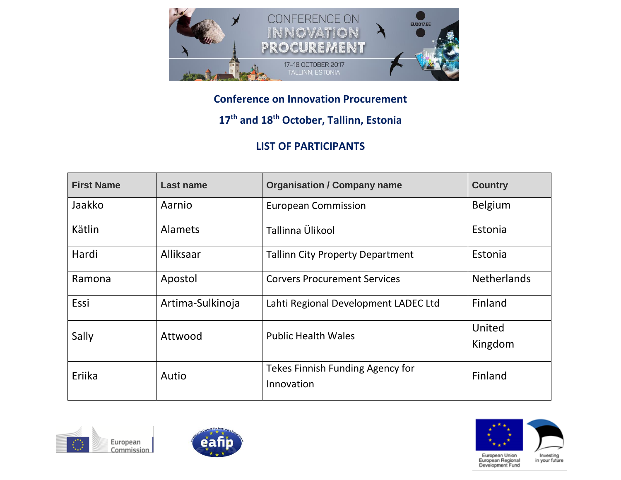

## **Conference on Innovation Procurement**

## **17th and 18th October, Tallinn, Estonia**

## **LIST OF PARTICIPANTS**

| <b>First Name</b> | Last name        | <b>Organisation / Company name</b>      | <b>Country</b>     |
|-------------------|------------------|-----------------------------------------|--------------------|
| Jaakko            | Aarnio           | <b>European Commission</b>              | <b>Belgium</b>     |
| Kätlin            | <b>Alamets</b>   | Tallinna Ülikool                        | Estonia            |
| Hardi             | Alliksaar        | <b>Tallinn City Property Department</b> | Estonia            |
| Ramona            | Apostol          | <b>Corvers Procurement Services</b>     | <b>Netherlands</b> |
| Essi              | Artima-Sulkinoja | Lahti Regional Development LADEC Ltd    | Finland            |
| Sally             | Attwood          | <b>Public Health Wales</b>              | United             |
|                   |                  |                                         | Kingdom            |
| Eriika            | Autio            | Tekes Finnish Funding Agency for        | Finland            |
|                   |                  | Innovation                              |                    |







European Union<br>European Regional<br>Development Fund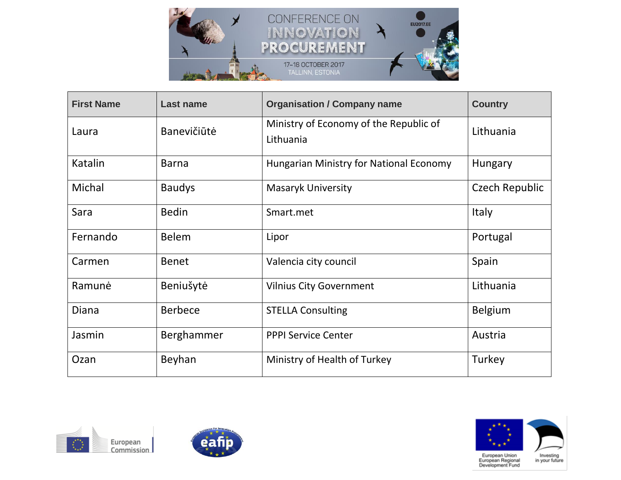

| <b>First Name</b> | <b>Last name</b> | <b>Organisation / Company name</b>                  | <b>Country</b> |
|-------------------|------------------|-----------------------------------------------------|----------------|
| Laura             | Banevičiūtė      | Ministry of Economy of the Republic of<br>Lithuania | Lithuania      |
| Katalin           | <b>Barna</b>     | <b>Hungarian Ministry for National Economy</b>      | Hungary        |
| Michal            | <b>Baudys</b>    | <b>Masaryk University</b>                           | Czech Republic |
| Sara              | <b>Bedin</b>     | Smart.met                                           | <b>Italy</b>   |
| Fernando          | <b>Belem</b>     | Lipor                                               | Portugal       |
| Carmen            | <b>Benet</b>     | Valencia city council                               | Spain          |
| Ramunė            | Beniušytė        | <b>Vilnius City Government</b>                      | Lithuania      |
| <b>Diana</b>      | <b>Berbece</b>   | <b>STELLA Consulting</b>                            | <b>Belgium</b> |
| Jasmin            | Berghammer       | <b>PPPI Service Center</b>                          | Austria        |
| Ozan              | Beyhan           | Ministry of Health of Turkey                        | Turkey         |





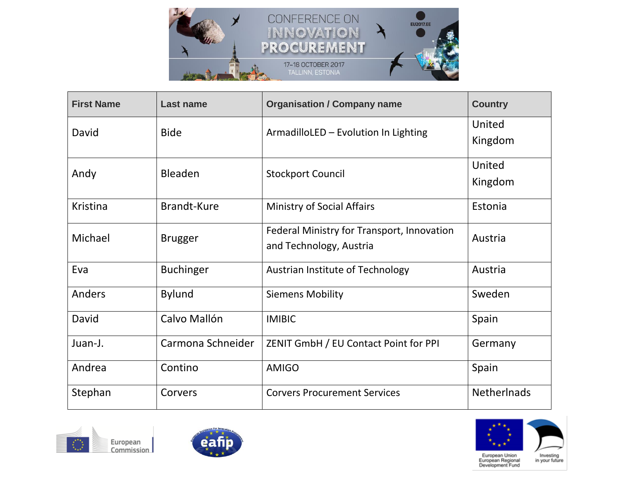

| <b>First Name</b> | <b>Last name</b>   | <b>Organisation / Company name</b>                                    | <b>Country</b>     |
|-------------------|--------------------|-----------------------------------------------------------------------|--------------------|
| David             | <b>Bide</b>        | ArmadilloLED - Evolution In Lighting                                  | United<br>Kingdom  |
| Andy              | <b>Bleaden</b>     | <b>Stockport Council</b>                                              | United<br>Kingdom  |
| Kristina          | <b>Brandt-Kure</b> | <b>Ministry of Social Affairs</b>                                     | Estonia            |
| Michael           | <b>Brugger</b>     | Federal Ministry for Transport, Innovation<br>and Technology, Austria | Austria            |
| Eva               | <b>Buchinger</b>   | Austrian Institute of Technology                                      | Austria            |
| Anders            | <b>Bylund</b>      | <b>Siemens Mobility</b>                                               | Sweden             |
| David             | Calvo Mallón       | <b>IMIBIC</b>                                                         | Spain              |
| Juan-J.           | Carmona Schneider  | ZENIT GmbH / EU Contact Point for PPI                                 | Germany            |
| Andrea            | Contino            | <b>AMIGO</b>                                                          | Spain              |
| Stephan           | Corvers            | <b>Corvers Procurement Services</b>                                   | <b>Netherlnads</b> |





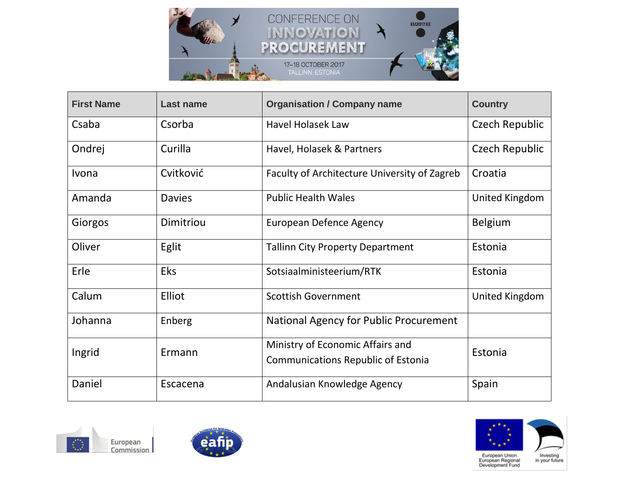

| <b>First Name</b> | <b>Last name</b> | <b>Organisation / Company name</b>                                            | <b>Country</b> |
|-------------------|------------------|-------------------------------------------------------------------------------|----------------|
| Csaba             | Csorba           | <b>Havel Holasek Law</b>                                                      | Czech Republic |
| Ondrej            | Curilla          | Havel, Holasek & Partners                                                     | Czech Republic |
| Ivona             | Cvitković        | Faculty of Architecture University of Zagreb                                  | Croatia        |
| Amanda            | <b>Davies</b>    | <b>Public Health Wales</b>                                                    | United Kingdom |
| Giorgos           | Dimitriou        | <b>European Defence Agency</b>                                                | <b>Belgium</b> |
| Oliver            | Eglit            | <b>Tallinn City Property Department</b>                                       | Estonia        |
| Erle              | <b>Eks</b>       | Sotsiaalministeerium/RTK                                                      | Estonia        |
| Calum             | Elliot           | <b>Scottish Government</b>                                                    | United Kingdom |
| Johanna           | Enberg           | National Agency for Public Procurement                                        |                |
| Ingrid            | Ermann           | Ministry of Economic Affairs and<br><b>Communications Republic of Estonia</b> | Estonia        |
| Daniel            | Escacena         | Andalusian Knowledge Agency                                                   | Spain          |





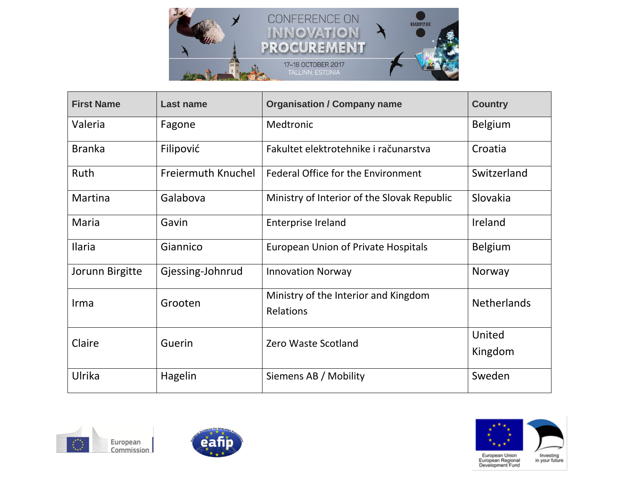

| <b>First Name</b> | <b>Last name</b>          | <b>Organisation / Company name</b>                | <b>Country</b>     |
|-------------------|---------------------------|---------------------------------------------------|--------------------|
| Valeria           | Fagone                    | Medtronic                                         | <b>Belgium</b>     |
| <b>Branka</b>     | Filipović                 | Fakultet elektrotehnike i računarstva             | Croatia            |
| Ruth              | <b>Freiermuth Knuchel</b> | <b>Federal Office for the Environment</b>         | Switzerland        |
| Martina           | Galabova                  | Ministry of Interior of the Slovak Republic       | Slovakia           |
| Maria             | Gavin                     | <b>Enterprise Ireland</b>                         | Ireland            |
| Ilaria            | Giannico                  | <b>European Union of Private Hospitals</b>        | <b>Belgium</b>     |
| Jorunn Birgitte   | Gjessing-Johnrud          | <b>Innovation Norway</b>                          | Norway             |
| Irma              | Grooten                   | Ministry of the Interior and Kingdom<br>Relations | <b>Netherlands</b> |
| Claire            | Guerin                    | Zero Waste Scotland                               | United<br>Kingdom  |
| Ulrika            | Hagelin                   | Siemens AB / Mobility                             | Sweden             |





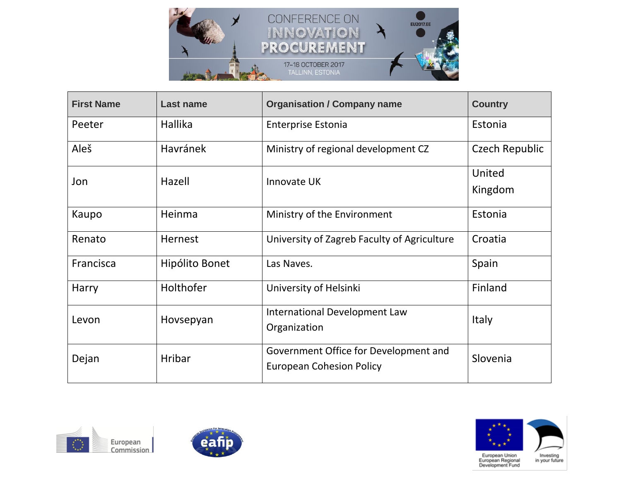

| <b>First Name</b> | <b>Last name</b> | <b>Organisation / Company name</b>                                       | <b>Country</b>    |
|-------------------|------------------|--------------------------------------------------------------------------|-------------------|
| Peeter            | Hallika          | <b>Enterprise Estonia</b>                                                | Estonia           |
| Aleš              | <b>Havránek</b>  | Ministry of regional development CZ                                      | Czech Republic    |
| Jon               | Hazell           | Innovate UK                                                              | United<br>Kingdom |
| Kaupo             | Heinma           | Ministry of the Environment                                              | Estonia           |
| Renato            | Hernest          | University of Zagreb Faculty of Agriculture                              | Croatia           |
| Francisca         | Hipólito Bonet   | Las Naves.                                                               | Spain             |
| Harry             | Holthofer        | University of Helsinki                                                   | Finland           |
| Levon             | Hovsepyan        | International Development Law<br>Organization                            | <b>Italy</b>      |
| Dejan             | Hribar           | Government Office for Development and<br><b>European Cohesion Policy</b> | Slovenia          |





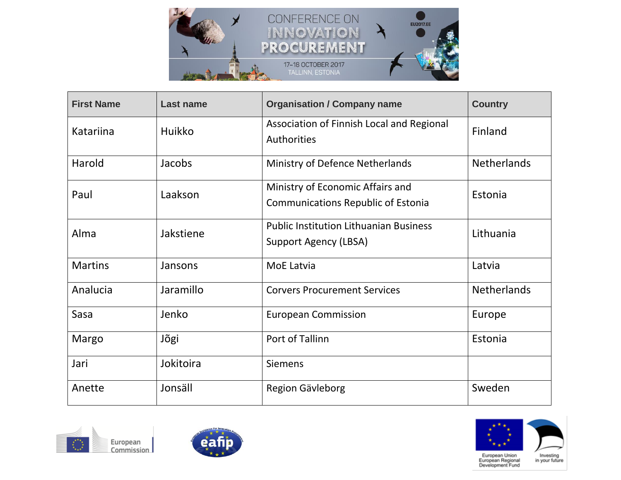

| <b>First Name</b> | <b>Last name</b> | <b>Organisation / Company name</b>                                            | <b>Country</b>     |
|-------------------|------------------|-------------------------------------------------------------------------------|--------------------|
| Katariina         | <b>Huikko</b>    | Association of Finnish Local and Regional<br>Authorities                      | Finland            |
| Harold            | Jacobs           | Ministry of Defence Netherlands                                               | <b>Netherlands</b> |
| Paul              | Laakson          | Ministry of Economic Affairs and<br><b>Communications Republic of Estonia</b> | Estonia            |
| Alma              | Jakstiene        | <b>Public Institution Lithuanian Business</b><br>Support Agency (LBSA)        | Lithuania          |
| <b>Martins</b>    | Jansons          | MoE Latvia                                                                    | Latvia             |
| Analucia          | Jaramillo        | <b>Corvers Procurement Services</b>                                           | <b>Netherlands</b> |
| Sasa              | Jenko            | <b>European Commission</b>                                                    | Europe             |
| Margo             | Jõgi             | Port of Tallinn                                                               | Estonia            |
| Jari              | Jokitoira        | <b>Siemens</b>                                                                |                    |
| Anette            | Jonsäll          | Region Gävleborg                                                              | Sweden             |





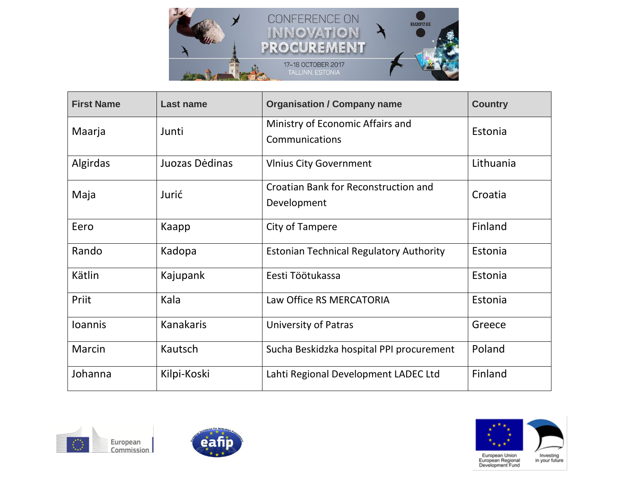

| <b>First Name</b> | <b>Last name</b> | <b>Organisation / Company name</b>                  | <b>Country</b> |
|-------------------|------------------|-----------------------------------------------------|----------------|
| Maarja            | Junti            | Ministry of Economic Affairs and<br>Communications  | Estonia        |
| Algirdas          | Juozas Dėdinas   | <b>VInius City Government</b>                       | Lithuania      |
| Maja              | Jurić            | Croatian Bank for Reconstruction and<br>Development | Croatia        |
| Eero              | Kaapp            | City of Tampere                                     | Finland        |
| Rando             | Kadopa           | <b>Estonian Technical Regulatory Authority</b>      | Estonia        |
| Kätlin            | Kajupank         | Eesti Töötukassa                                    | Estonia        |
| Priit             | Kala             | Law Office RS MERCATORIA                            | Estonia        |
| <b>Ioannis</b>    | <b>Kanakaris</b> | <b>University of Patras</b>                         | Greece         |
| Marcin            | Kautsch          | Sucha Beskidzka hospital PPI procurement            | Poland         |
| Johanna           | Kilpi-Koski      | Lahti Regional Development LADEC Ltd                | Finland        |





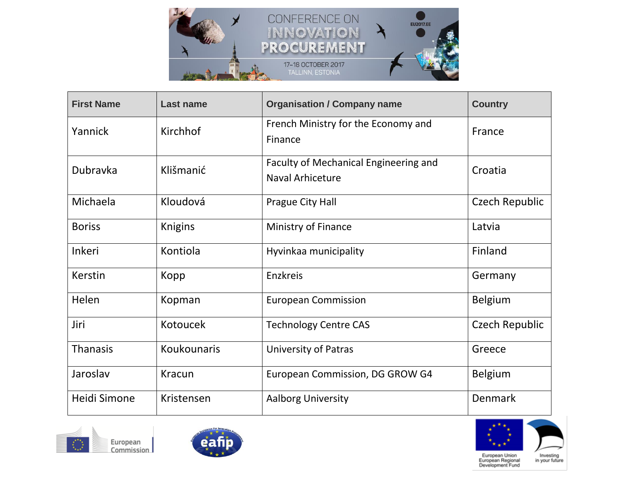

| <b>First Name</b> | <b>Last name</b> | <b>Organisation / Company name</b>                               | <b>Country</b> |
|-------------------|------------------|------------------------------------------------------------------|----------------|
| Yannick           | Kirchhof         | French Ministry for the Economy and<br>Finance                   | France         |
| <b>Dubravka</b>   | Klišmanić        | Faculty of Mechanical Engineering and<br><b>Naval Arhiceture</b> | Croatia        |
| Michaela          | Kloudová         | Prague City Hall                                                 | Czech Republic |
| <b>Boriss</b>     | Knigins          | Ministry of Finance                                              | Latvia         |
| <b>Inkeri</b>     | Kontiola         | Hyvinkaa municipality                                            | Finland        |
| Kerstin           | Kopp             | Enzkreis                                                         | Germany        |
| Helen             | Kopman           | <b>European Commission</b>                                       | Belgium        |
| Jiri              | Kotoucek         | <b>Technology Centre CAS</b>                                     | Czech Republic |
| <b>Thanasis</b>   | Koukounaris      | <b>University of Patras</b>                                      | Greece         |
| Jaroslav          | <b>Kracun</b>    | European Commission, DG GROW G4                                  | <b>Belgium</b> |
| Heidi Simone      | Kristensen       | <b>Aalborg University</b>                                        | <b>Denmark</b> |





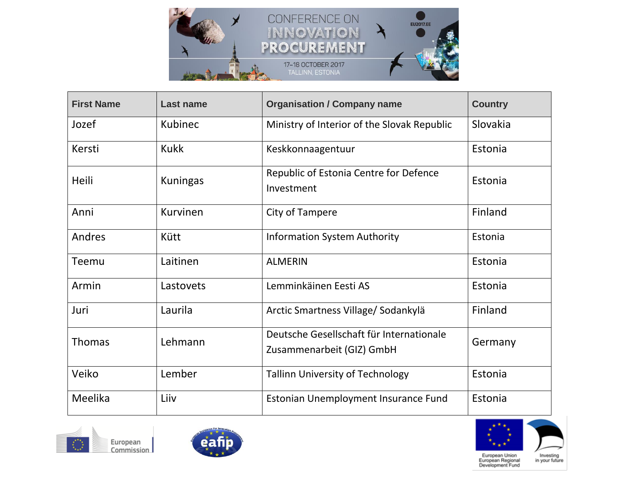

| <b>First Name</b> | <b>Last name</b> | <b>Organisation / Company name</b>                                    | <b>Country</b> |
|-------------------|------------------|-----------------------------------------------------------------------|----------------|
| Jozef             | Kubinec          | Ministry of Interior of the Slovak Republic                           | Slovakia       |
| Kersti            | <b>Kukk</b>      | Keskkonnaagentuur                                                     | Estonia        |
| Heili             | <b>Kuningas</b>  | Republic of Estonia Centre for Defence<br>Investment                  | Estonia        |
| Anni              | Kurvinen         | City of Tampere                                                       | Finland        |
| Andres            | Kütt             | <b>Information System Authority</b>                                   | Estonia        |
| Teemu             | Laitinen         | <b>ALMERIN</b>                                                        | Estonia        |
| Armin             | Lastovets        | Lemminkäinen Eesti AS                                                 | Estonia        |
| Juri              | Laurila          | Arctic Smartness Village/Sodankylä                                    | Finland        |
| <b>Thomas</b>     | Lehmann          | Deutsche Gesellschaft für Internationale<br>Zusammenarbeit (GIZ) GmbH | Germany        |
| Veiko             | Lember           | <b>Tallinn University of Technology</b>                               | Estonia        |
| Meelika           | Liiv             | Estonian Unemployment Insurance Fund                                  | Estonia        |





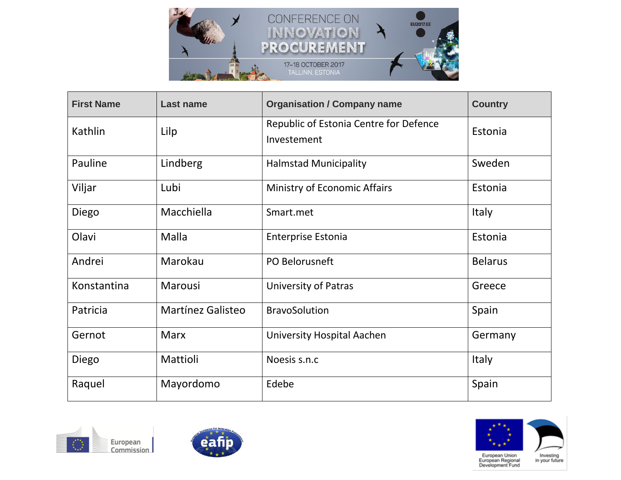

| <b>First Name</b> | <b>Last name</b>         | <b>Organisation / Company name</b>                    | <b>Country</b> |
|-------------------|--------------------------|-------------------------------------------------------|----------------|
| Kathlin           | Lilp                     | Republic of Estonia Centre for Defence<br>Investement | Estonia        |
| Pauline           | Lindberg                 | <b>Halmstad Municipality</b>                          | Sweden         |
| Viljar            | Lubi                     | Ministry of Economic Affairs                          | Estonia        |
| Diego             | Macchiella               | Smart.met                                             | <b>Italy</b>   |
| Olavi             | Malla                    | <b>Enterprise Estonia</b>                             | Estonia        |
| Andrei            | Marokau                  | PO Belorusneft                                        | <b>Belarus</b> |
| Konstantina       | Marousi                  | <b>University of Patras</b>                           | Greece         |
| Patricia          | <b>Martínez Galisteo</b> | <b>BravoSolution</b>                                  | Spain          |
| Gernot            | <b>Marx</b>              | <b>University Hospital Aachen</b>                     | Germany        |
| Diego             | Mattioli                 | Noesis s.n.c                                          | Italy          |
| Raquel            | Mayordomo                | Edebe                                                 | Spain          |





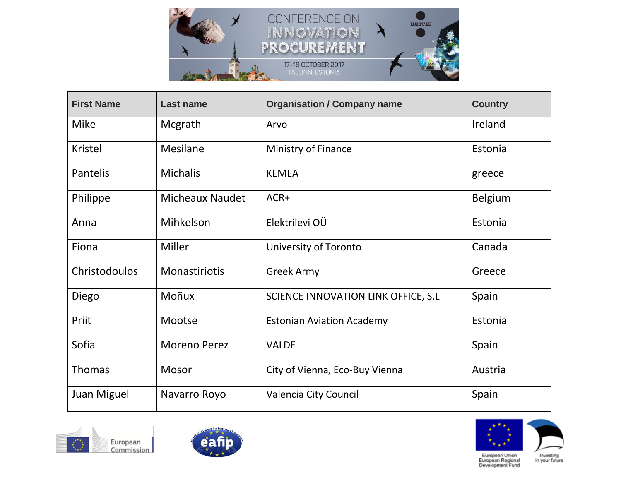

| <b>First Name</b> | <b>Last name</b>       | <b>Organisation / Company name</b>   | <b>Country</b> |
|-------------------|------------------------|--------------------------------------|----------------|
| <b>Mike</b>       | Mcgrath                | Arvo                                 | Ireland        |
| Kristel           | <b>Mesilane</b>        | Ministry of Finance                  | Estonia        |
| Pantelis          | <b>Michalis</b>        | <b>KEMEA</b>                         | greece         |
| Philippe          | <b>Micheaux Naudet</b> | ACR+                                 | Belgium        |
| Anna              | Mihkelson              | Elektrilevi OÜ                       | Estonia        |
| Fiona             | Miller                 | <b>University of Toronto</b>         | Canada         |
| Christodoulos     | Monastiriotis          | <b>Greek Army</b>                    | Greece         |
| Diego             | Moñux                  | SCIENCE INNOVATION LINK OFFICE, S.L. | Spain          |
| Priit             | Mootse                 | <b>Estonian Aviation Academy</b>     | Estonia        |
| Sofia             | <b>Moreno Perez</b>    | <b>VALDE</b>                         | Spain          |
| <b>Thomas</b>     | Mosor                  | City of Vienna, Eco-Buy Vienna       | Austria        |
| Juan Miguel       | Navarro Royo           | Valencia City Council                | Spain          |





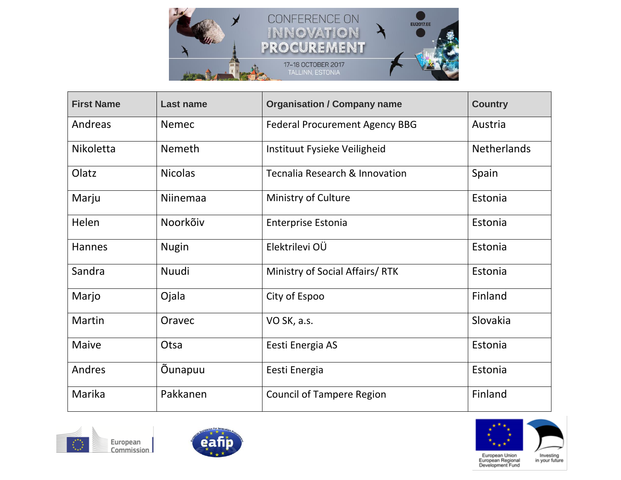

| <b>First Name</b> | <b>Last name</b> | <b>Organisation / Company name</b>    | <b>Country</b>     |
|-------------------|------------------|---------------------------------------|--------------------|
| Andreas           | <b>Nemec</b>     | <b>Federal Procurement Agency BBG</b> | Austria            |
| Nikoletta         | <b>Nemeth</b>    | Instituut Fysieke Veiligheid          | <b>Netherlands</b> |
| Olatz             | <b>Nicolas</b>   | Tecnalia Research & Innovation        | Spain              |
| Marju             | Niinemaa         | Ministry of Culture                   | Estonia            |
| Helen             | Noorkõiv         | <b>Enterprise Estonia</b>             | Estonia            |
| <b>Hannes</b>     | <b>Nugin</b>     | Elektrilevi OÜ                        | Estonia            |
| Sandra            | Nuudi            | Ministry of Social Affairs/RTK        | Estonia            |
| Marjo             | Ojala            | City of Espoo                         | Finland            |
| Martin            | Oravec           | VO SK, a.s.                           | Slovakia           |
| <b>Maive</b>      | Otsa             | Eesti Energia AS                      | Estonia            |
| Andres            | Öunapuu          | Eesti Energia                         | Estonia            |
| Marika            | Pakkanen         | <b>Council of Tampere Region</b>      | Finland            |





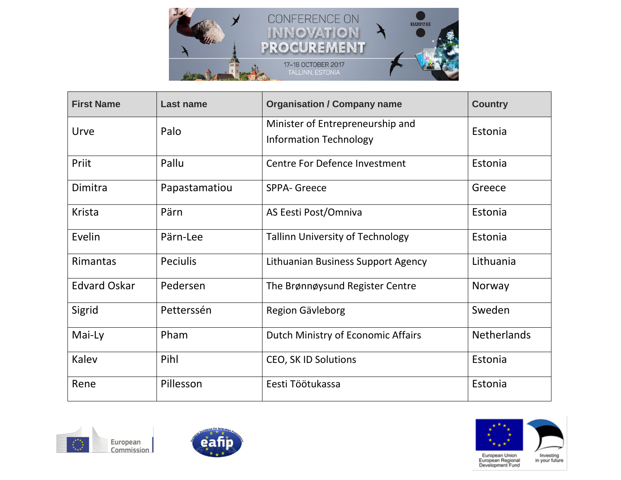

| <b>First Name</b>   | <b>Last name</b> | <b>Organisation / Company name</b>                                | <b>Country</b>     |
|---------------------|------------------|-------------------------------------------------------------------|--------------------|
| Urve                | Palo             | Minister of Entrepreneurship and<br><b>Information Technology</b> | Estonia            |
| Priit               | Pallu            | <b>Centre For Defence Investment</b>                              | Estonia            |
| Dimitra             | Papastamatiou    | <b>SPPA- Greece</b>                                               | Greece             |
| <b>Krista</b>       | Pärn             | AS Eesti Post/Omniva                                              | Estonia            |
| Evelin              | Pärn-Lee         | <b>Tallinn University of Technology</b>                           | Estonia            |
| <b>Rimantas</b>     | <b>Peciulis</b>  | Lithuanian Business Support Agency                                | Lithuania          |
| <b>Edvard Oskar</b> | Pedersen         | The Brønnøysund Register Centre                                   | Norway             |
| Sigrid              | Petterssén       | Region Gävleborg                                                  | Sweden             |
| Mai-Ly              | Pham             | Dutch Ministry of Economic Affairs                                | <b>Netherlands</b> |
| Kalev               | Pihl             | <b>CEO, SK ID Solutions</b>                                       | Estonia            |
| Rene                | Pillesson        | Eesti Töötukassa                                                  | Estonia            |





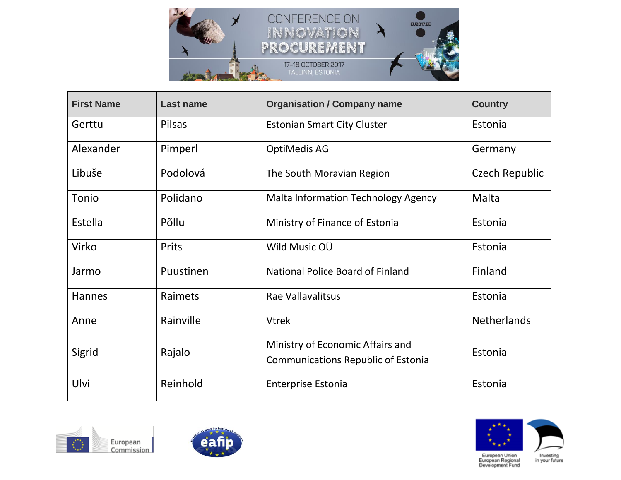

| <b>First Name</b> | <b>Last name</b> | <b>Organisation / Company name</b>                                            | <b>Country</b>     |
|-------------------|------------------|-------------------------------------------------------------------------------|--------------------|
| Gerttu            | <b>Pilsas</b>    | <b>Estonian Smart City Cluster</b>                                            | Estonia            |
| Alexander         | Pimperl          | <b>OptiMedis AG</b>                                                           | Germany            |
| Libuše            | Podolová         | The South Moravian Region                                                     | Czech Republic     |
| Tonio             | Polidano         | <b>Malta Information Technology Agency</b>                                    | Malta              |
| Estella           | Põllu            | Ministry of Finance of Estonia                                                | Estonia            |
| Virko             | Prits            | Wild Music OU                                                                 | Estonia            |
| Jarmo             | Puustinen        | <b>National Police Board of Finland</b>                                       | Finland            |
| <b>Hannes</b>     | Raimets          | Rae Vallavalitsus                                                             | Estonia            |
| Anne              | Rainville        | <b>Vtrek</b>                                                                  | <b>Netherlands</b> |
| Sigrid            | Rajalo           | Ministry of Economic Affairs and<br><b>Communications Republic of Estonia</b> | Estonia            |
| Ulvi              | Reinhold         | <b>Enterprise Estonia</b>                                                     | Estonia            |





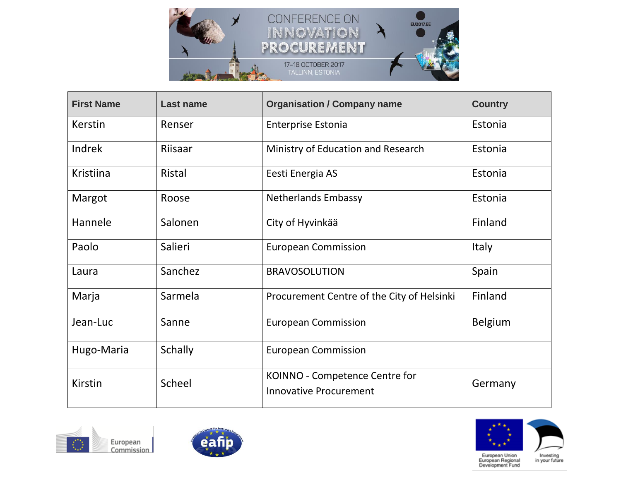

| <b>First Name</b> | <b>Last name</b> | <b>Organisation / Company name</b>                              | <b>Country</b> |
|-------------------|------------------|-----------------------------------------------------------------|----------------|
| Kerstin           | Renser           | <b>Enterprise Estonia</b>                                       | Estonia        |
| Indrek            | Riisaar          | Ministry of Education and Research                              | Estonia        |
| Kristiina         | Ristal           | Eesti Energia AS                                                | Estonia        |
| Margot            | Roose            | <b>Netherlands Embassy</b>                                      | Estonia        |
| Hannele           | Salonen          | City of Hyvinkää                                                | Finland        |
| Paolo             | Salieri          | <b>European Commission</b>                                      | <b>Italy</b>   |
| Laura             | Sanchez          | <b>BRAVOSOLUTION</b>                                            | Spain          |
| Marja             | Sarmela          | Procurement Centre of the City of Helsinki                      | Finland        |
| Jean-Luc          | Sanne            | <b>European Commission</b>                                      | <b>Belgium</b> |
| Hugo-Maria        | <b>Schally</b>   | <b>European Commission</b>                                      |                |
| <b>Kirstin</b>    | Scheel           | KOINNO - Competence Centre for<br><b>Innovative Procurement</b> | Germany        |





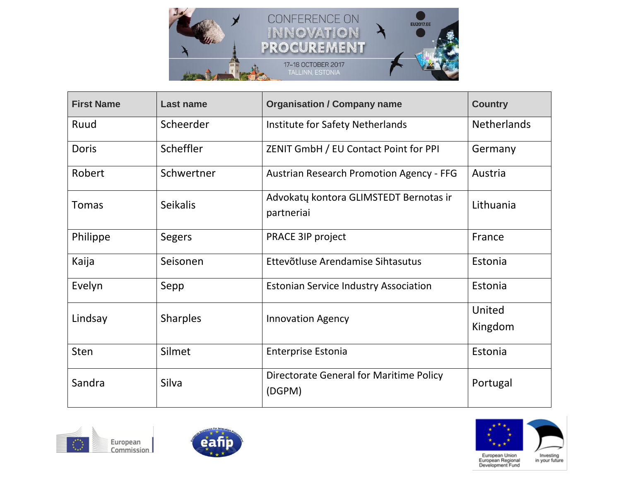

| <b>First Name</b> | <b>Last name</b> | <b>Organisation / Company name</b>                   | <b>Country</b>     |
|-------------------|------------------|------------------------------------------------------|--------------------|
| Ruud              | Scheerder        | Institute for Safety Netherlands                     | <b>Netherlands</b> |
| Doris             | Scheffler        | ZENIT GmbH / EU Contact Point for PPI                | Germany            |
| Robert            | Schwertner       | <b>Austrian Research Promotion Agency - FFG</b>      | Austria            |
| <b>Tomas</b>      | <b>Seikalis</b>  | Advokatų kontora GLIMSTEDT Bernotas ir<br>partneriai | Lithuania          |
| Philippe          | <b>Segers</b>    | <b>PRACE 3IP project</b>                             | France             |
| Kaija             | Seisonen         | Ettevõtluse Arendamise Sihtasutus                    | Estonia            |
| Evelyn            | Sepp             | <b>Estonian Service Industry Association</b>         | Estonia            |
| Lindsay           | <b>Sharples</b>  | <b>Innovation Agency</b>                             | United             |
|                   |                  |                                                      | Kingdom            |
| <b>Sten</b>       | Silmet           | <b>Enterprise Estonia</b>                            | Estonia            |
| Sandra            | Silva            | Directorate General for Maritime Policy<br>(DGPM)    | Portugal           |





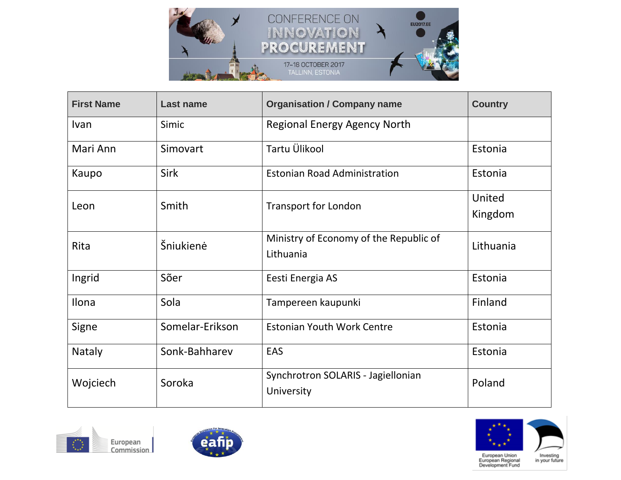

| <b>First Name</b> | <b>Last name</b> | <b>Organisation / Company name</b>                  | <b>Country</b>    |
|-------------------|------------------|-----------------------------------------------------|-------------------|
| Ivan              | Simic            | Regional Energy Agency North                        |                   |
| Mari Ann          | Simovart         | Tartu Ülikool                                       | Estonia           |
| Kaupo             | Sirk             | <b>Estonian Road Administration</b>                 | Estonia           |
| Leon              | Smith            | <b>Transport for London</b>                         | United<br>Kingdom |
| Rita              | Šniukienė        | Ministry of Economy of the Republic of<br>Lithuania | Lithuania         |
| Ingrid            | Sõer             | Eesti Energia AS                                    | Estonia           |
| Ilona             | Sola             | Tampereen kaupunki                                  | Finland           |
| Signe             | Somelar-Erikson  | <b>Estonian Youth Work Centre</b>                   | Estonia           |
| <b>Nataly</b>     | Sonk-Bahharev    | <b>EAS</b>                                          | Estonia           |
| Wojciech          | Soroka           | Synchrotron SOLARIS - Jagiellonian<br>University    | Poland            |





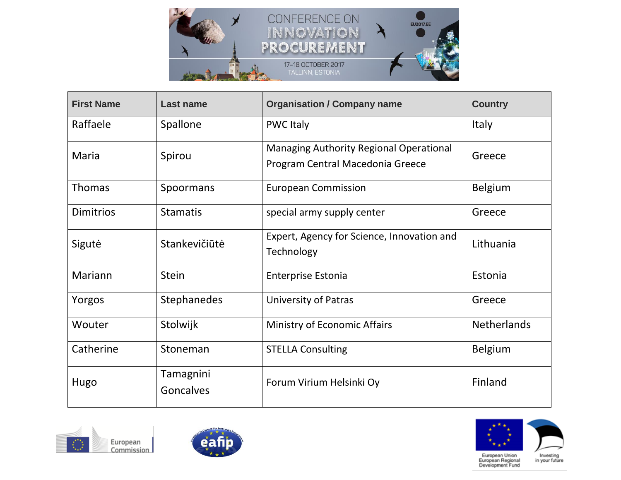

| <b>First Name</b> | <b>Last name</b>              | <b>Organisation / Company name</b>                                                 | <b>Country</b>     |
|-------------------|-------------------------------|------------------------------------------------------------------------------------|--------------------|
| Raffaele          | Spallone                      | <b>PWC Italy</b>                                                                   | <b>Italy</b>       |
| Maria             | Spirou                        | <b>Managing Authority Regional Operational</b><br>Program Central Macedonia Greece | Greece             |
| <b>Thomas</b>     | Spoormans                     | <b>European Commission</b>                                                         | <b>Belgium</b>     |
| <b>Dimitrios</b>  | <b>Stamatis</b>               | special army supply center                                                         | Greece             |
| Sigutė            | Stankevičiūtė                 | Expert, Agency for Science, Innovation and<br>Technology                           | Lithuania          |
| Mariann           | <b>Stein</b>                  | <b>Enterprise Estonia</b>                                                          | Estonia            |
| Yorgos            | <b>Stephanedes</b>            | University of Patras                                                               | Greece             |
| Wouter            | Stolwijk                      | Ministry of Economic Affairs                                                       | <b>Netherlands</b> |
| Catherine         | Stoneman                      | <b>STELLA Consulting</b>                                                           | <b>Belgium</b>     |
| Hugo              | Tamagnini<br><b>Goncalves</b> | Forum Virium Helsinki Oy                                                           | Finland            |





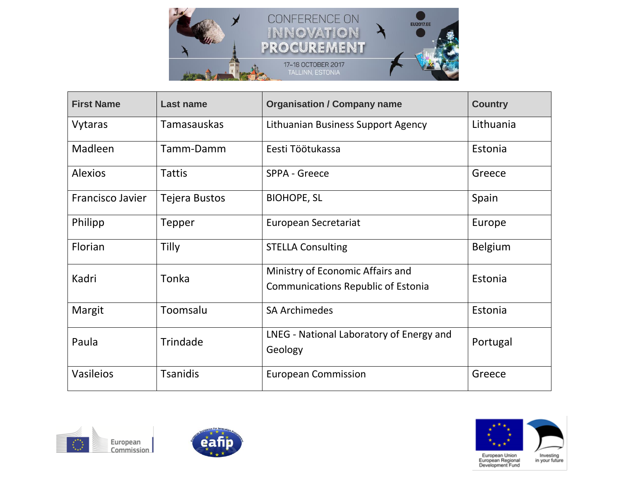

| <b>First Name</b>       | <b>Last name</b>     | <b>Organisation / Company name</b>                                            | <b>Country</b> |
|-------------------------|----------------------|-------------------------------------------------------------------------------|----------------|
| Vytaras                 | <b>Tamasauskas</b>   | Lithuanian Business Support Agency                                            | Lithuania      |
| Madleen                 | Tamm-Damm            | Eesti Töötukassa                                                              | Estonia        |
| <b>Alexios</b>          | Tattis               | SPPA - Greece                                                                 | Greece         |
| <b>Francisco Javier</b> | <b>Tejera Bustos</b> | <b>BIOHOPE, SL</b>                                                            | Spain          |
| Philipp                 | Tepper               | <b>European Secretariat</b>                                                   | Europe         |
| Florian                 | Tilly                | <b>STELLA Consulting</b>                                                      | <b>Belgium</b> |
| Kadri                   | Tonka                | Ministry of Economic Affairs and<br><b>Communications Republic of Estonia</b> | Estonia        |
| Margit                  | Toomsalu             | <b>SA Archimedes</b>                                                          | Estonia        |
| Paula                   | Trindade             | LNEG - National Laboratory of Energy and<br>Geology                           | Portugal       |
| Vasileios               | <b>Tsanidis</b>      | <b>European Commission</b>                                                    | Greece         |





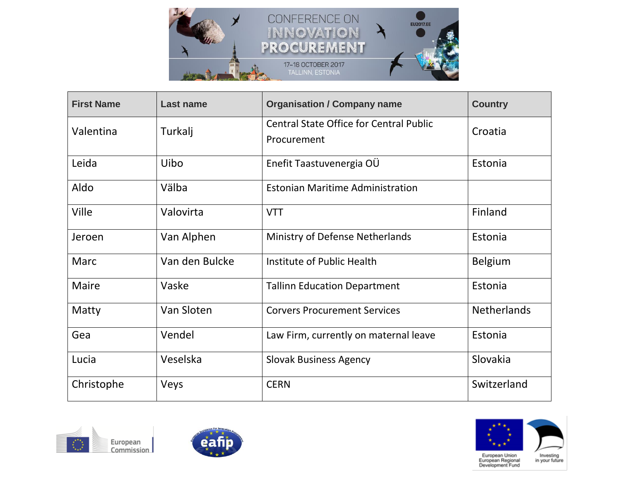

| <b>First Name</b> | <b>Last name</b> | <b>Organisation / Company name</b>                            | <b>Country</b>     |
|-------------------|------------------|---------------------------------------------------------------|--------------------|
| Valentina         | Turkalj          | <b>Central State Office for Central Public</b><br>Procurement | Croatia            |
| Leida             | Uibo             | Enefit Taastuvenergia OÜ                                      | Estonia            |
| Aldo              | Välba            | <b>Estonian Maritime Administration</b>                       |                    |
| <b>Ville</b>      | Valovirta        | <b>VTT</b>                                                    | Finland            |
| Jeroen            | Van Alphen       | Ministry of Defense Netherlands                               | Estonia            |
| Marc              | Van den Bulcke   | Institute of Public Health                                    | <b>Belgium</b>     |
| <b>Maire</b>      | Vaske            | <b>Tallinn Education Department</b>                           | Estonia            |
| Matty             | Van Sloten       | <b>Corvers Procurement Services</b>                           | <b>Netherlands</b> |
| Gea               | Vendel           | Law Firm, currently on maternal leave                         | Estonia            |
| Lucia             | Veselska         | <b>Slovak Business Agency</b>                                 | Slovakia           |
| Christophe        | Veys             | <b>CERN</b>                                                   | Switzerland        |





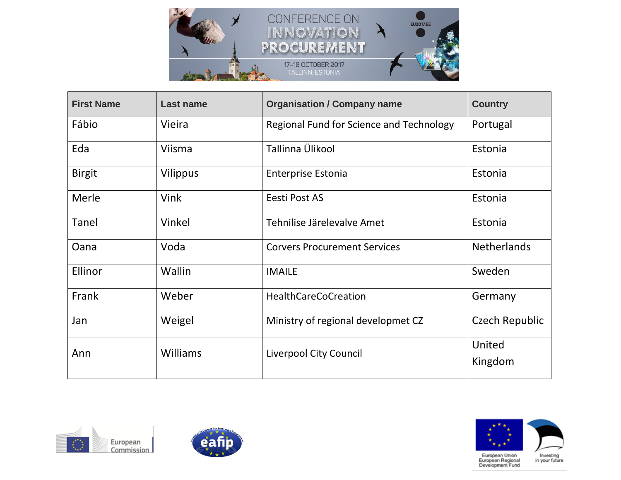

| <b>First Name</b> | <b>Last name</b> | <b>Organisation / Company name</b>       | <b>Country</b>        |
|-------------------|------------------|------------------------------------------|-----------------------|
| Fábio             | Vieira           | Regional Fund for Science and Technology | Portugal              |
| Eda               | Viisma           | Tallinna Ülikool                         | Estonia               |
| <b>Birgit</b>     | Vilippus         | Enterprise Estonia                       | Estonia               |
| Merle             | <b>Vink</b>      | Eesti Post AS                            | Estonia               |
| Tanel             | Vinkel           | Tehnilise Järelevalve Amet               | Estonia               |
| Oana              | Voda             | <b>Corvers Procurement Services</b>      | <b>Netherlands</b>    |
| Ellinor           | Wallin           | <b>IMAILE</b>                            | Sweden                |
| Frank             | Weber            | <b>HealthCareCoCreation</b>              | Germany               |
| Jan               | Weigel           | Ministry of regional developmet CZ       | <b>Czech Republic</b> |
| Ann               | <b>Williams</b>  | Liverpool City Council                   | United<br>Kingdom     |